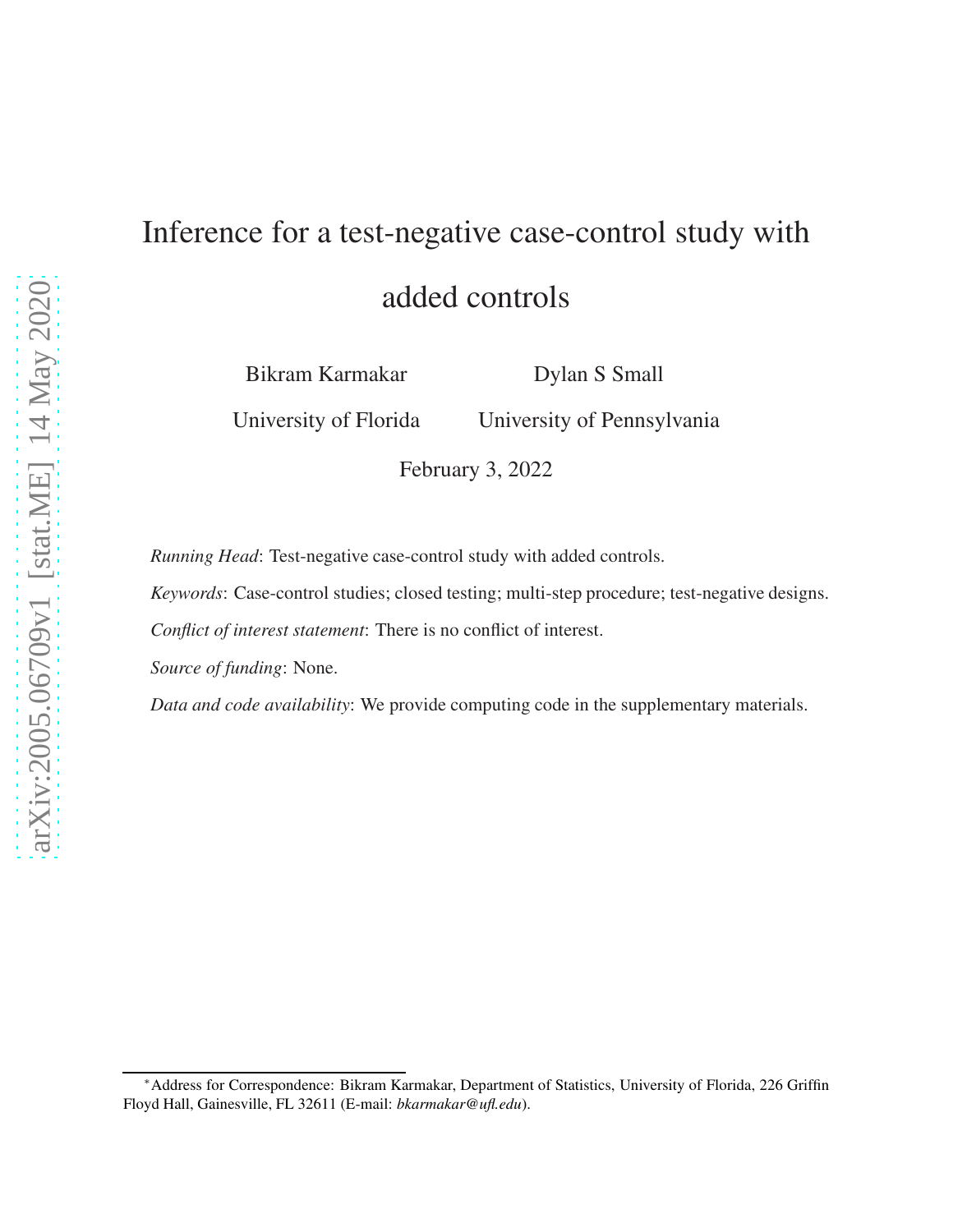# Inference for a test-negative case-control study with added controls

Bikram Karmakar

Dylan S Small

University of Florida

University of Pennsylvania

February 3, 2022

*Running Head*: Test-negative case-control study with added controls.

*Keywords*: Case-control studies; closed testing; multi-step procedure; test-negative designs.

*Conflict of interest statement*: There is no conflict of interest.

*Source of funding*: None.

*Data and code availability*: We provide computing code in the supplementary materials.

<sup>∗</sup>Address for Correspondence: Bikram Karmakar, Department of Statistics, University of Florida, 226 Griffin Floyd Hall, Gainesville, FL 32611 (E-mail: *bkarmakar@ufl.edu*).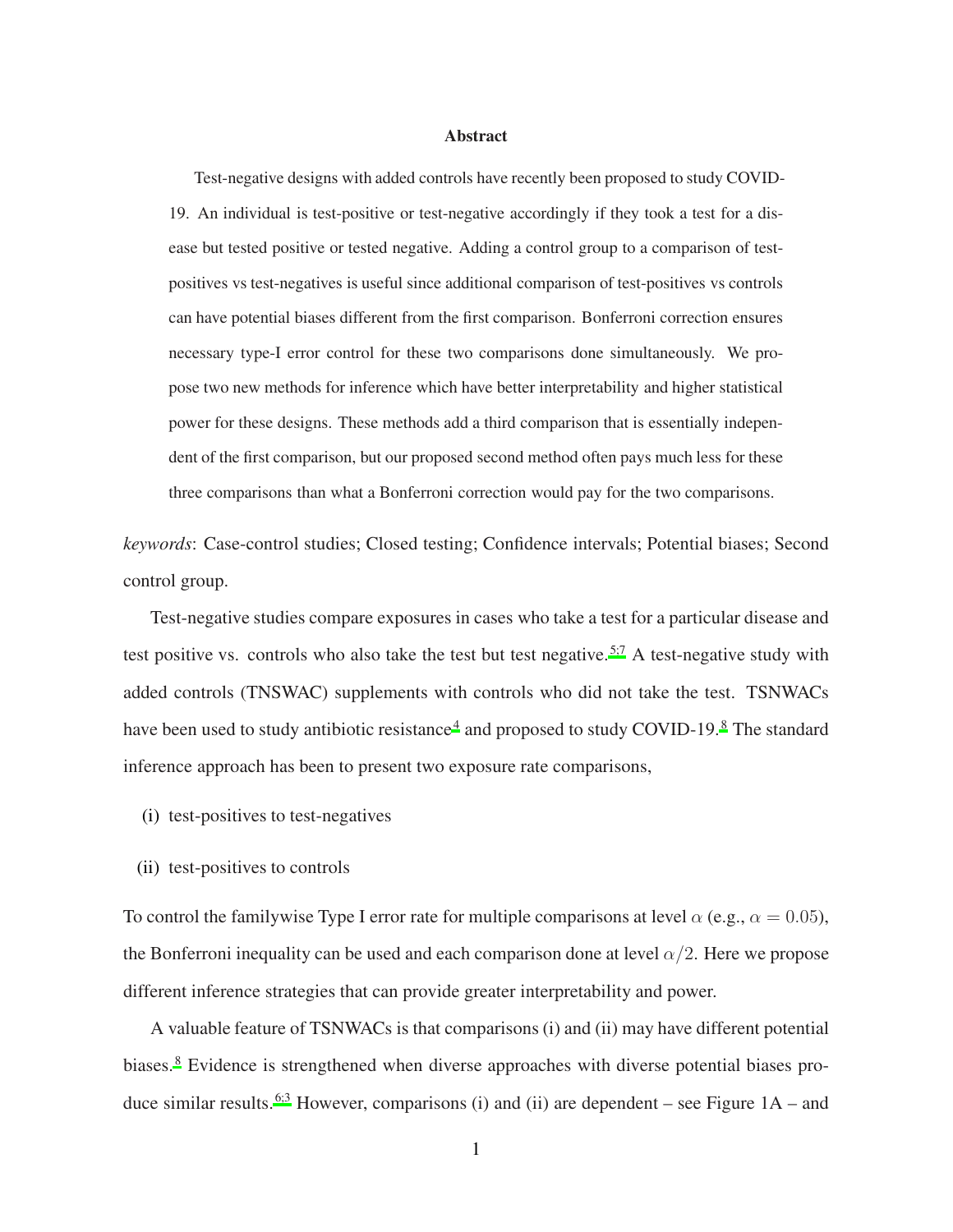#### Abstract

Test-negative designs with added controls have recently been proposed to study COVID-19. An individual is test-positive or test-negative accordingly if they took a test for a disease but tested positive or tested negative. Adding a control group to a comparison of testpositives vs test-negatives is useful since additional comparison of test-positives vs controls can have potential biases different from the first comparison. Bonferroni correction ensures necessary type-I error control for these two comparisons done simultaneously. We propose two new methods for inference which have better interpretability and higher statistical power for these designs. These methods add a third comparison that is essentially independent of the first comparison, but our proposed second method often pays much less for these three comparisons than what a Bonferroni correction would pay for the two comparisons.

*keywords*: Case-control studies; Closed testing; Confidence intervals; Potential biases; Second control group.

Test-negative studies compare exposures in cases who take a test for a particular disease and test positive vs. controls who also take the test but test negative.<sup>[5](#page-3-0)[;7](#page-4-0)</sup> A test-negative study with added controls (TNSWAC) supplements with controls who did not take the test. TSNWACs have been used to study antibiotic resistance<sup>[4](#page-3-1)</sup> and proposed to study COVID-19.<sup>[8](#page-4-1)</sup> The standard inference approach has been to present two exposure rate comparisons,

- (i) test-positives to test-negatives
- (ii) test-positives to controls

To control the familywise Type I error rate for multiple comparisons at level  $\alpha$  (e.g.,  $\alpha = 0.05$ ), the Bonferroni inequality can be used and each comparison done at level  $\alpha/2$ . Here we propose different inference strategies that can provide greater interpretability and power.

A valuable feature of TSNWACs is that comparisons (i) and (ii) may have different potential biases.<sup>[8](#page-4-1)</sup> Evidence is strengthened when diverse approaches with diverse potential biases pro-duce similar results.<sup>[6](#page-3-2)[;3](#page-3-3)</sup> However, comparisons (i) and (ii) are dependent – see Figure  $1A$  – and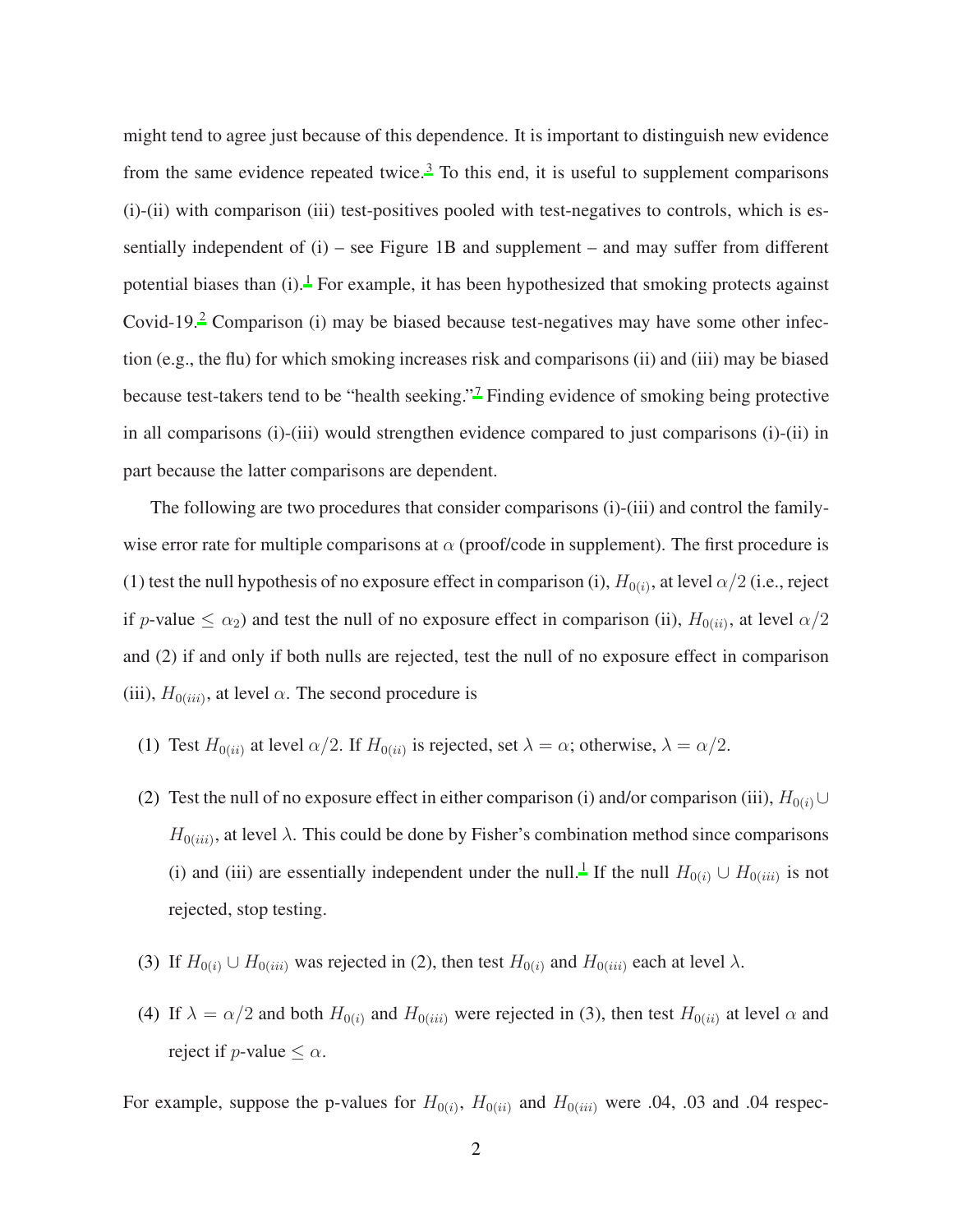might tend to agree just because of this dependence. It is important to distinguish new evidence from the same evidence repeated twice.<sup>[3](#page-3-3)</sup> To this end, it is useful to supplement comparisons (i)-(ii) with comparison (iii) test-positives pooled with test-negatives to controls, which is essentially independent of  $(i)$  – see Figure 1B and supplement – and may suffer from different potential biases than  $(i)$ .<sup>[1](#page-3-4)</sup> For example, it has been hypothesized that smoking protects against Covid-19.<sup>[2](#page-3-5)</sup> Comparison (i) may be biased because test-negatives may have some other infection (e.g., the flu) for which smoking increases risk and comparisons (ii) and (iii) may be biased because test-takers tend to be "health seeking."[7](#page-4-0) Finding evidence of smoking being protective in all comparisons (i)-(iii) would strengthen evidence compared to just comparisons (i)-(ii) in part because the latter comparisons are dependent.

The following are two procedures that consider comparisons (i)-(iii) and control the familywise error rate for multiple comparisons at  $\alpha$  (proof/code in supplement). The first procedure is (1) test the null hypothesis of no exposure effect in comparison (i),  $H_{0(i)}$ , at level  $\alpha/2$  (i.e., reject if p-value  $\leq \alpha_2$ ) and test the null of no exposure effect in comparison (ii),  $H_{0(ii)}$ , at level  $\alpha/2$ and (2) if and only if both nulls are rejected, test the null of no exposure effect in comparison (iii),  $H_{0(iii)}$ , at level  $\alpha$ . The second procedure is

- (1) Test  $H_{0(ii)}$  at level  $\alpha/2$ . If  $H_{0(ii)}$  is rejected, set  $\lambda = \alpha$ ; otherwise,  $\lambda = \alpha/2$ .
- (2) Test the null of no exposure effect in either comparison (i) and/or comparison (iii),  $H_{0(i)} \cup$  $H_{0(iii)}$ , at level  $\lambda$ . This could be done by Fisher's combination method since comparisons (i) and (iii) are essentially independent under the null.<sup>[1](#page-3-4)</sup> If the null  $H_{0(i)} \cup H_{0(iii)}$  is not rejected, stop testing.
- (3) If  $H_{0(i)} \cup H_{0(iii)}$  was rejected in (2), then test  $H_{0(i)}$  and  $H_{0(iii)}$  each at level  $\lambda$ .
- (4) If  $\lambda = \alpha/2$  and both  $H_{0(i)}$  and  $H_{0(iii)}$  were rejected in (3), then test  $H_{0(ii)}$  at level  $\alpha$  and reject if *p*-value  $\leq \alpha$ .

For example, suppose the p-values for  $H_{0(i)}$ ,  $H_{0(ii)}$  and  $H_{0(iii)}$  were 0.04, 0.03 and 0.04 respec-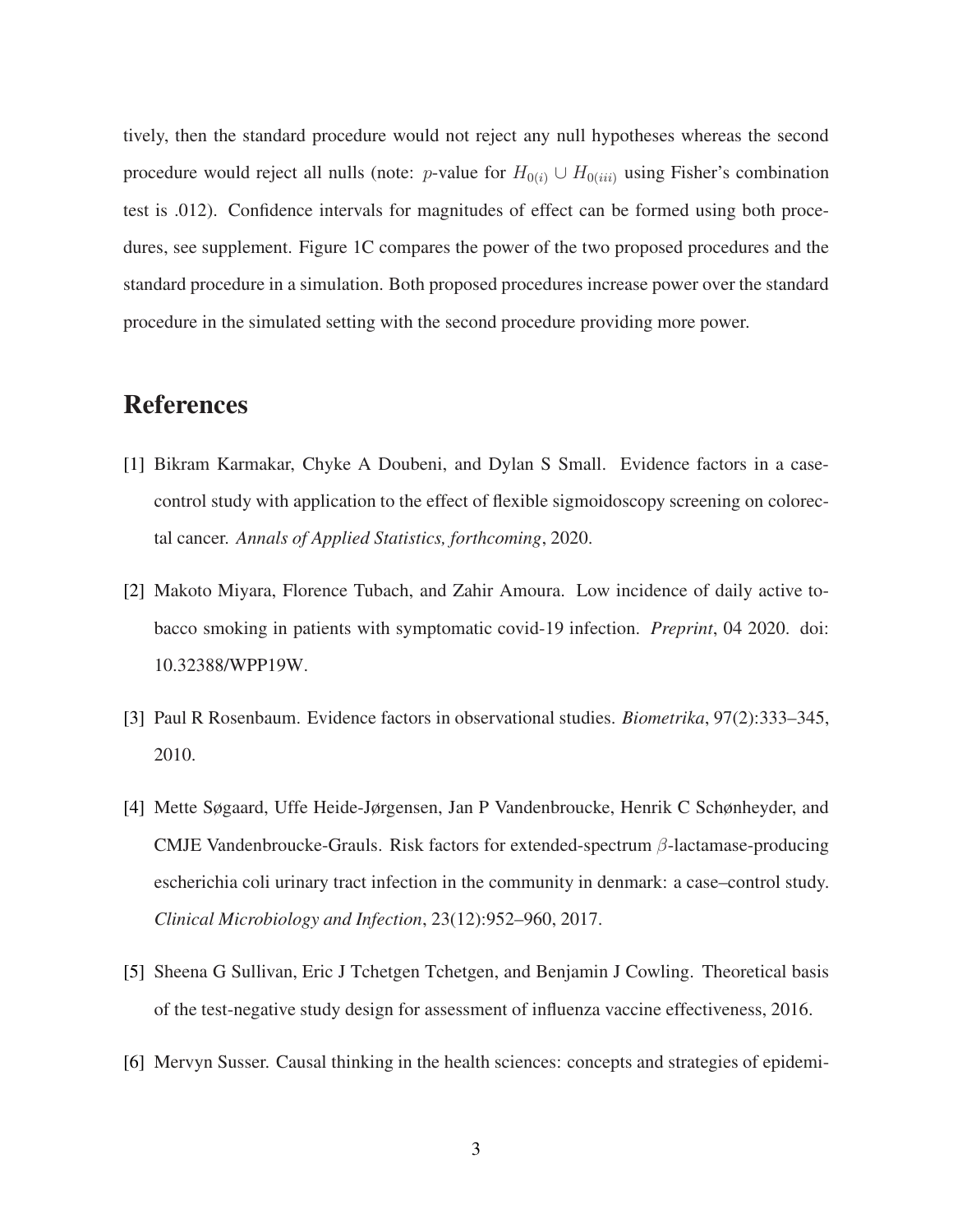tively, then the standard procedure would not reject any null hypotheses whereas the second procedure would reject all nulls (note: p-value for  $H_{0(i)} \cup H_{0(iii)}$  using Fisher's combination test is .012). Confidence intervals for magnitudes of effect can be formed using both procedures, see supplement. Figure 1C compares the power of the two proposed procedures and the standard procedure in a simulation. Both proposed procedures increase power over the standard procedure in the simulated setting with the second procedure providing more power.

## References

- <span id="page-3-4"></span>[1] Bikram Karmakar, Chyke A Doubeni, and Dylan S Small. Evidence factors in a casecontrol study with application to the effect of flexible sigmoidoscopy screening on colorectal cancer. *Annals of Applied Statistics, forthcoming*, 2020.
- <span id="page-3-5"></span>[2] Makoto Miyara, Florence Tubach, and Zahir Amoura. Low incidence of daily active tobacco smoking in patients with symptomatic covid-19 infection. *Preprint*, 04 2020. doi: 10.32388/WPP19W.
- <span id="page-3-3"></span>[3] Paul R Rosenbaum. Evidence factors in observational studies. *Biometrika*, 97(2):333–345, 2010.
- <span id="page-3-1"></span>[4] Mette Søgaard, Uffe Heide-Jørgensen, Jan P Vandenbroucke, Henrik C Schønheyder, and CMJE Vandenbroucke-Grauls. Risk factors for extended-spectrum  $\beta$ -lactamase-producing escherichia coli urinary tract infection in the community in denmark: a case–control study. *Clinical Microbiology and Infection*, 23(12):952–960, 2017.
- <span id="page-3-0"></span>[5] Sheena G Sullivan, Eric J Tchetgen Tchetgen, and Benjamin J Cowling. Theoretical basis of the test-negative study design for assessment of influenza vaccine effectiveness, 2016.
- <span id="page-3-2"></span>[6] Mervyn Susser. Causal thinking in the health sciences: concepts and strategies of epidemi-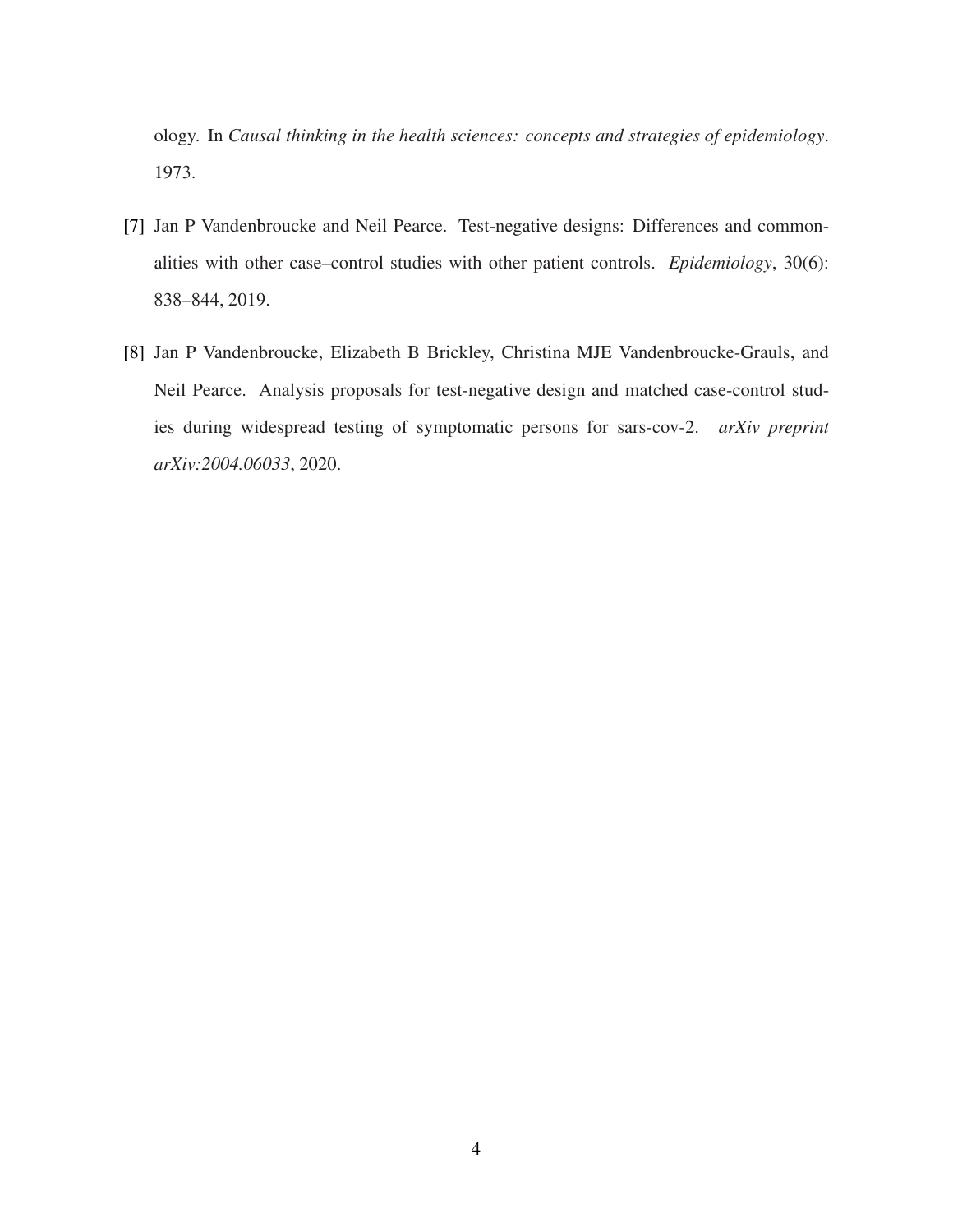ology. In *Causal thinking in the health sciences: concepts and strategies of epidemiology*. 1973.

- <span id="page-4-0"></span>[7] Jan P Vandenbroucke and Neil Pearce. Test-negative designs: Differences and commonalities with other case–control studies with other patient controls. *Epidemiology*, 30(6): 838–844, 2019.
- <span id="page-4-1"></span>[8] Jan P Vandenbroucke, Elizabeth B Brickley, Christina MJE Vandenbroucke-Grauls, and Neil Pearce. Analysis proposals for test-negative design and matched case-control studies during widespread testing of symptomatic persons for sars-cov-2. *arXiv preprint arXiv:2004.06033*, 2020.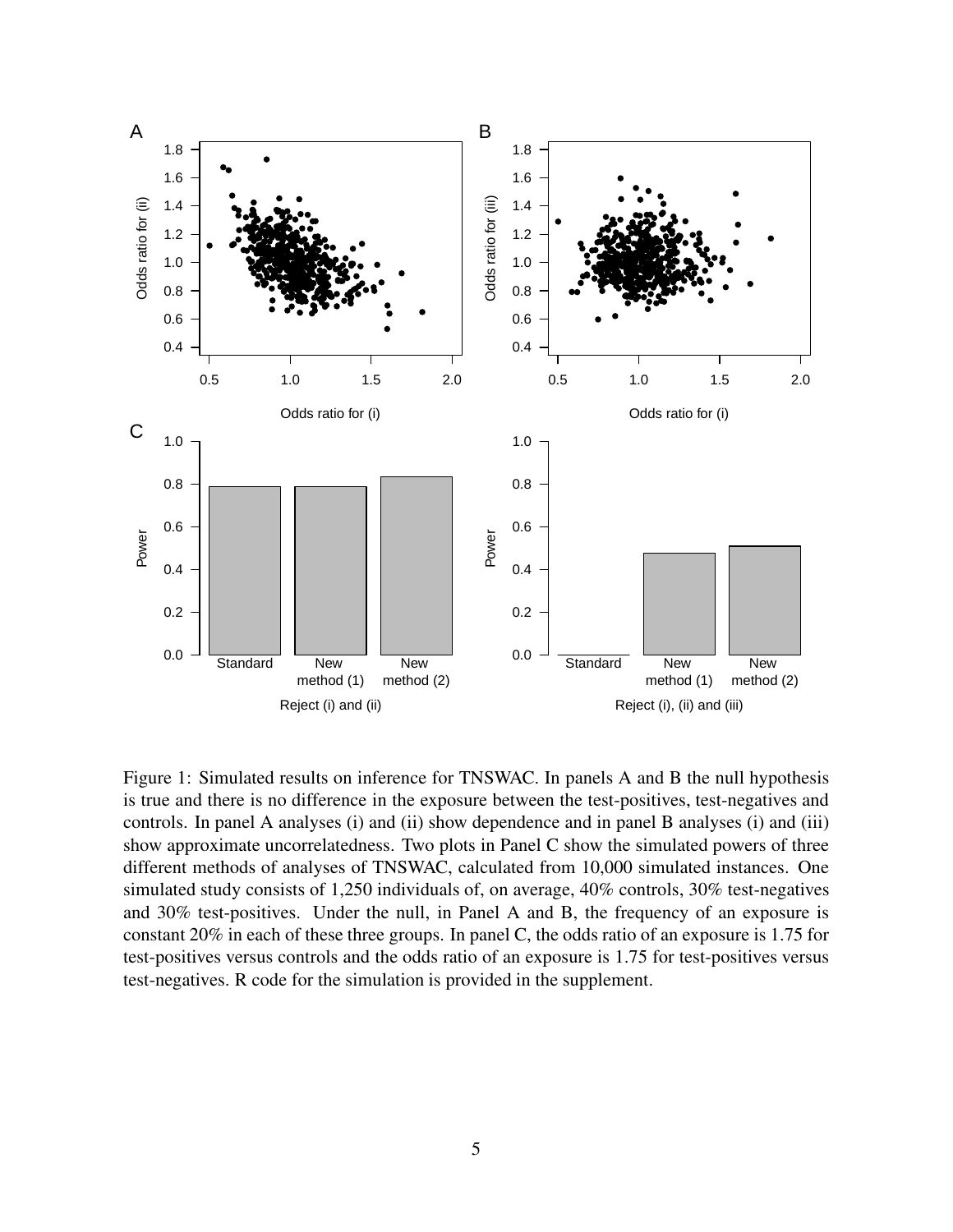

Figure 1: Simulated results on inference for TNSWAC. In panels A and B the null hypothesis is true and there is no difference in the exposure between the test-positives, test-negatives and controls. In panel A analyses (i) and (ii) show dependence and in panel B analyses (i) and (iii) show approximate uncorrelatedness. Two plots in Panel C show the simulated powers of three different methods of analyses of TNSWAC, calculated from 10,000 simulated instances. One simulated study consists of 1,250 individuals of, on average, 40% controls, 30% test-negatives and 30% test-positives. Under the null, in Panel A and B, the frequency of an exposure is constant 20% in each of these three groups. In panel C, the odds ratio of an exposure is 1.75 for test-positives versus controls and the odds ratio of an exposure is 1.75 for test-positives versus test-negatives. R code for the simulation is provided in the supplement.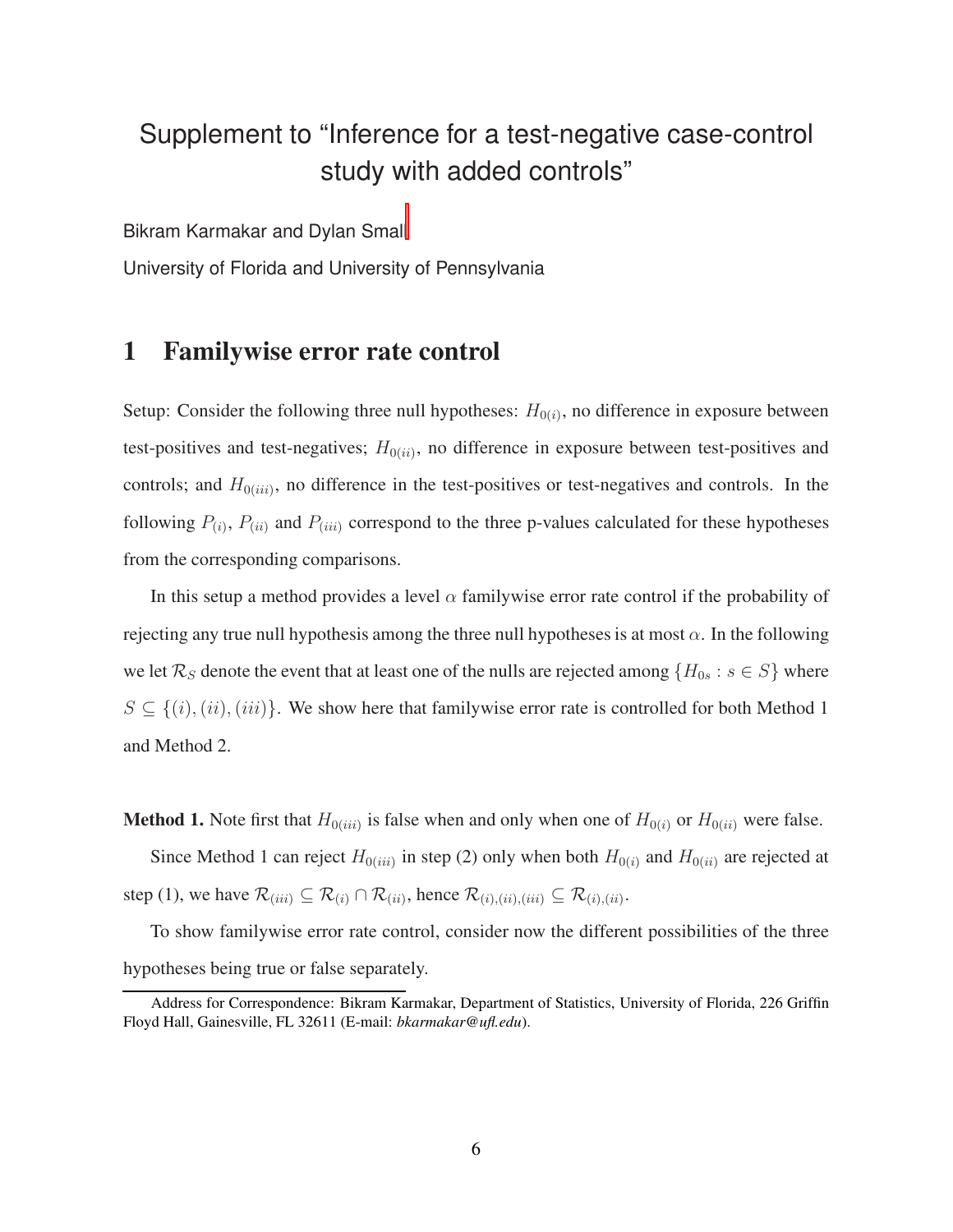## Supplement to "Inference for a test-negative case-control study with added controls"

Bikram Karmakar and Dylan Smal[l](#page-6-0)

University of Florida and University of Pennsylvania

## 1 Familywise error rate control

Setup: Consider the following three null hypotheses:  $H_{0(i)}$ , no difference in exposure between test-positives and test-negatives;  $H_{0(ii)}$ , no difference in exposure between test-positives and controls; and  $H_{0(iii)}$ , no difference in the test-positives or test-negatives and controls. In the following  $P_{(i)}$ ,  $P_{(ii)}$  and  $P_{(iii)}$  correspond to the three p-values calculated for these hypotheses from the corresponding comparisons.

In this setup a method provides a level  $\alpha$  familywise error rate control if the probability of rejecting any true null hypothesis among the three null hypotheses is at most  $\alpha$ . In the following we let  $\mathcal{R}_S$  denote the event that at least one of the nulls are rejected among  $\{H_{0s} : s \in S\}$  where  $S \subseteq \{(i), (ii), (iii)\}.$  We show here that familywise error rate is controlled for both Method 1 and Method 2.

**Method 1.** Note first that  $H_{0(iii)}$  is false when and only when one of  $H_{0(i)}$  or  $H_{0(ii)}$  were false.

Since Method 1 can reject  $H_{0(iii)}$  in step (2) only when both  $H_{0(i)}$  and  $H_{0(ii)}$  are rejected at step (1), we have  $\mathcal{R}_{(iii)} \subseteq \mathcal{R}_{(i)} \cap \mathcal{R}_{(ii)}$ , hence  $\mathcal{R}_{(i),(ii),(iii)} \subseteq \mathcal{R}_{(i),(ii)}$ .

To show familywise error rate control, consider now the different possibilities of the three hypotheses being true or false separately.

<span id="page-6-0"></span>Address for Correspondence: Bikram Karmakar, Department of Statistics, University of Florida, 226 Griffin Floyd Hall, Gainesville, FL 32611 (E-mail: *bkarmakar@ufl.edu*).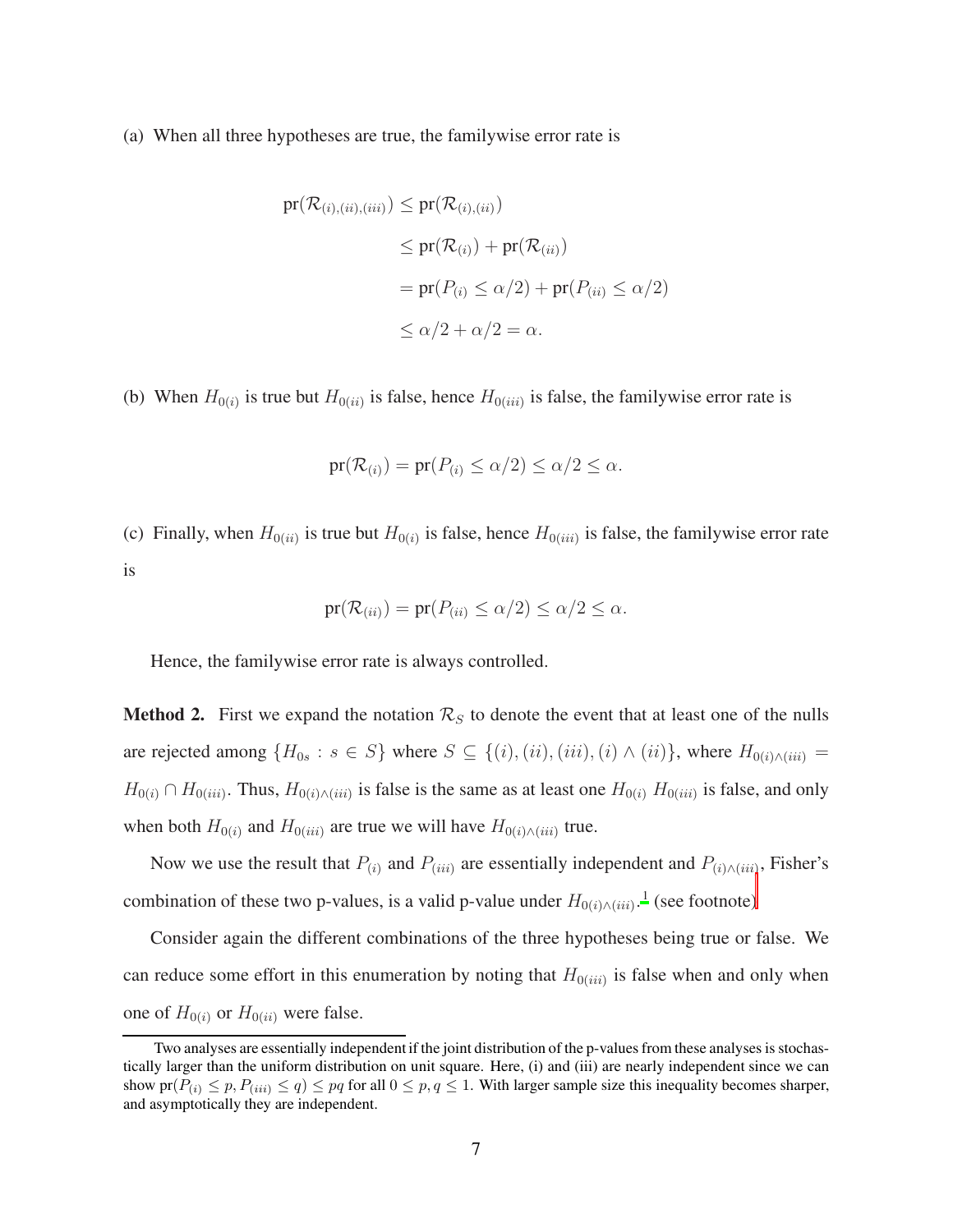(a) When all three hypotheses are true, the familywise error rate is

$$
pr(\mathcal{R}_{(i),(ii),(iii)}) \le pr(\mathcal{R}_{(i),(ii)})
$$
  
\n
$$
\le pr(\mathcal{R}_{(i)}) + pr(\mathcal{R}_{(ii)})
$$
  
\n
$$
= pr(P_{(i)} \le \alpha/2) + pr(P_{(ii)} \le \alpha/2)
$$
  
\n
$$
\le \alpha/2 + \alpha/2 = \alpha.
$$

(b) When  $H_{0(i)}$  is true but  $H_{0(ii)}$  is false, hence  $H_{0(iii)}$  is false, the familywise error rate is

$$
\mathrm{pr}(\mathcal{R}_{(i)}) = \mathrm{pr}(P_{(i)} \le \alpha/2) \le \alpha/2 \le \alpha.
$$

(c) Finally, when  $H_{0(ii)}$  is true but  $H_{0(i)}$  is false, hence  $H_{0(iii)}$  is false, the familywise error rate is

$$
\mathrm{pr}(\mathcal{R}_{(ii)}) = \mathrm{pr}(P_{(ii)} \le \alpha/2) \le \alpha/2 \le \alpha.
$$

Hence, the familywise error rate is always controlled.

**Method 2.** First we expand the notation  $\mathcal{R}_S$  to denote the event that at least one of the nulls are rejected among  $\{H_{0s} : s \in S\}$  where  $S \subseteq \{(i), (ii), (iii), (i) \wedge (ii)\}$ , where  $H_{0(i) \wedge (iii)} =$  $H_{0(i)} \cap H_{0(iii)}$ . Thus,  $H_{0(i) \wedge (iii)}$  is false is the same as at least one  $H_{0(i)}$   $H_{0(iii)}$  is false, and only when both  $H_{0(i)}$  and  $H_{0(iii)}$  are true we will have  $H_{0(i)\wedge(iii)}$  true.

Now we use the result that  $P_{(i)}$  and  $P_{(iii)}$  are essentially independent and  $P_{(i) \wedge (iii)}$ , Fisher's combination of these two p-values, is a valid p-value under  $H_{0(i)\wedge(iii)}$  $H_{0(i)\wedge(iii)}$  $H_{0(i)\wedge(iii)}$ .<sup>[1](#page-3-4)</sup> (see footnote)

Consider again the different combinations of the three hypotheses being true or false. We can reduce some effort in this enumeration by noting that  $H_{0(iii)}$  is false when and only when one of  $H_{0(i)}$  or  $H_{0(ii)}$  were false.

<span id="page-7-0"></span>Two analyses are essentially independent if the joint distribution of the p-values from these analyses is stochastically larger than the uniform distribution on unit square. Here, (i) and (iii) are nearly independent since we can show  $pr(P_{(i)} \leq p, P_{(iii)} \leq q) \leq pq$  for all  $0 \leq p, q \leq 1$ . With larger sample size this inequality becomes sharper, and asymptotically they are independent.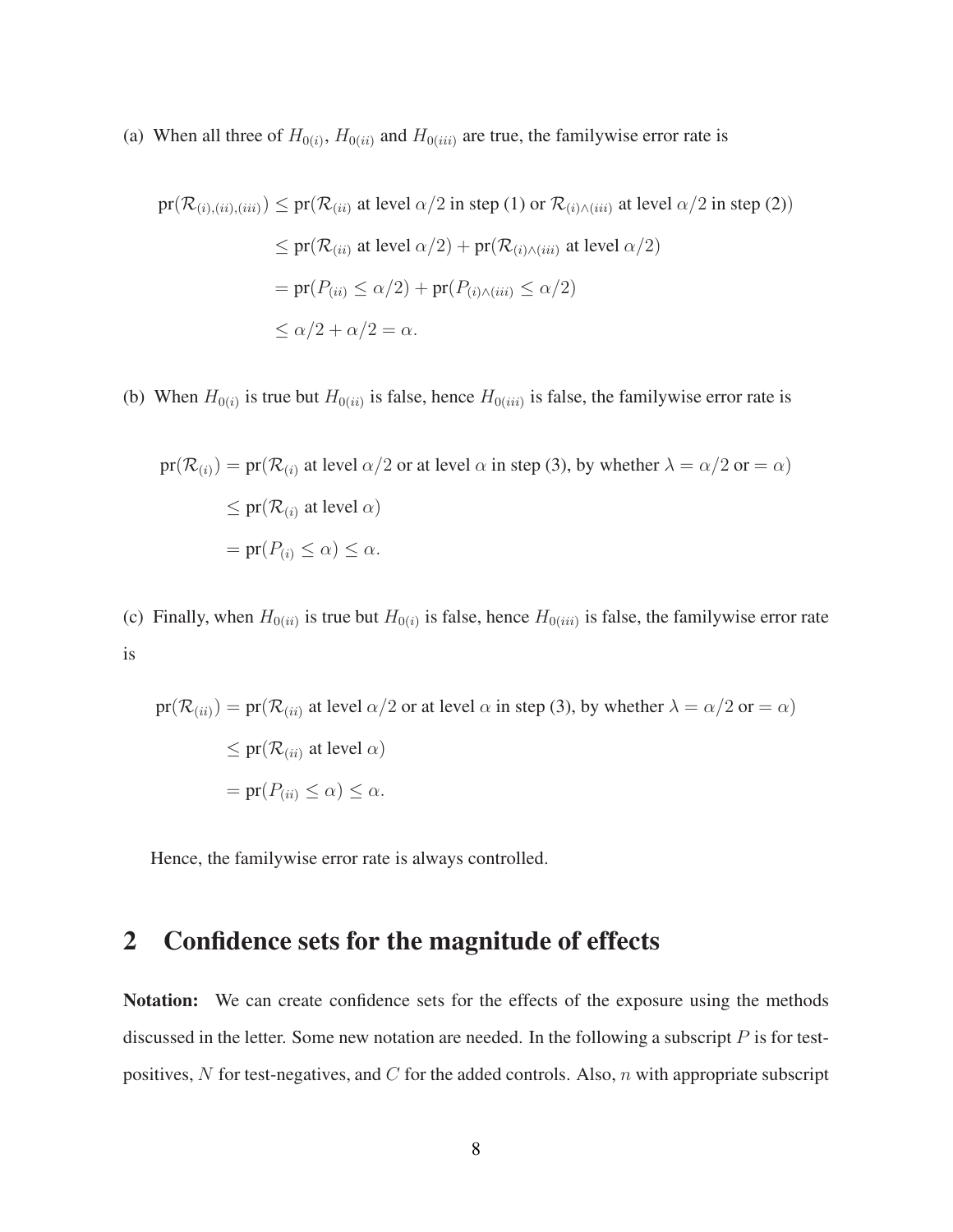(a) When all three of  $H_{0(i)}$ ,  $H_{0(ii)}$  and  $H_{0(iii)}$  are true, the familywise error rate is

$$
pr(\mathcal{R}_{(i),(iii),(iii)}) \le pr(\mathcal{R}_{(ii)}
$$
 at level  $\alpha/2$  in step (1) or  $\mathcal{R}_{(i)\wedge(iii)}$  at level  $\alpha/2$  in step (2))  
\n
$$
\le pr(\mathcal{R}_{(ii)}
$$
 at level  $\alpha/2$ ) +  $pr(\mathcal{R}_{(i)\wedge(iii)}$  at level  $\alpha/2$ )  
\n
$$
= pr(P_{(ii)} \le \alpha/2) + pr(P_{(i)\wedge(iii)} \le \alpha/2)
$$
  
\n
$$
\le \alpha/2 + \alpha/2 = \alpha.
$$

(b) When  $H_{0(i)}$  is true but  $H_{0(ii)}$  is false, hence  $H_{0(iii)}$  is false, the familywise error rate is

$$
pr(\mathcal{R}_{(i)}) = pr(\mathcal{R}_{(i)}
$$
 at level  $\alpha/2$  or at level  $\alpha$  in step (3), by whether  $\lambda = \alpha/2$  or  $= \alpha$ )  
\n
$$
\leq pr(\mathcal{R}_{(i)}
$$
 at level  $\alpha$ )  
\n
$$
= pr(P_{(i)} \leq \alpha) \leq \alpha.
$$

(c) Finally, when  $H_{0(ii)}$  is true but  $H_{0(i)}$  is false, hence  $H_{0(iii)}$  is false, the familywise error rate is

$$
pr(\mathcal{R}_{(ii)}) = pr(\mathcal{R}_{(ii)}
$$
 at level  $\alpha/2$  or at level  $\alpha$  in step (3), by whether  $\lambda = \alpha/2$  or  $= \alpha$ )  
\n
$$
\leq pr(\mathcal{R}_{(ii)}
$$
 at level  $\alpha$ )  
\n
$$
= pr(P_{(ii)} \leq \alpha) \leq \alpha.
$$

Hence, the familywise error rate is always controlled.

## 2 Confidence sets for the magnitude of effects

Notation: We can create confidence sets for the effects of the exposure using the methods discussed in the letter. Some new notation are needed. In the following a subscript  $P$  is for testpositives, N for test-negatives, and C for the added controls. Also,  $n$  with appropriate subscript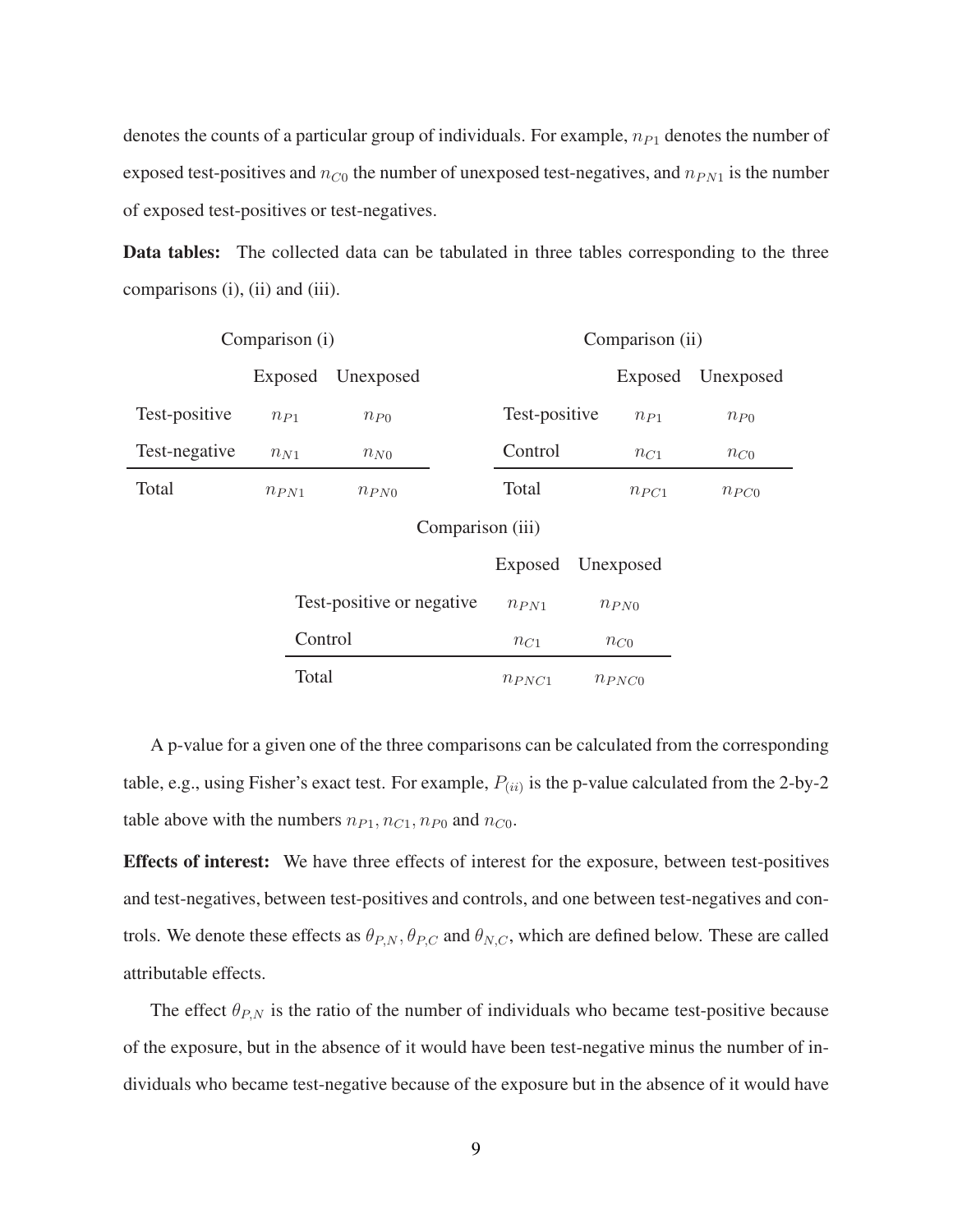denotes the counts of a particular group of individuals. For example,  $n_{P1}$  denotes the number of exposed test-positives and  $n_{C0}$  the number of unexposed test-negatives, and  $n_{PN1}$  is the number of exposed test-positives or test-negatives.

Data tables: The collected data can be tabulated in three tables corresponding to the three comparisons (i), (ii) and (iii).

| Comparison (i)   |           |                            | Comparison (ii) |               |           |            |           |
|------------------|-----------|----------------------------|-----------------|---------------|-----------|------------|-----------|
|                  | Exposed   | Unexposed                  |                 |               |           | Exposed    | Unexposed |
| Test-positive    | $n_{P1}$  | $n_{P0}$                   |                 | Test-positive |           | $n_{P1}$   | $n_{P0}$  |
| Test-negative    | $n_{N1}$  | $n_{N0}$                   |                 | Control       |           | $n_{C1}$   | $n_{C0}$  |
| Total            | $n_{PN1}$ | $n_{PN0}$                  |                 | Total         |           | $n_{PC1}$  | $n_{PC0}$ |
| Comparison (iii) |           |                            |                 |               |           |            |           |
|                  |           |                            |                 | Exposed       |           | Unexposed  |           |
|                  |           | Test-positive or negative. |                 | $n_{PN1}$     | $n_{PN0}$ |            |           |
|                  | Control   |                            |                 | $n_{C1}$      |           | $n_{C0}$   |           |
|                  | Total     |                            |                 | $n_{PNC1}$    |           | $n_{PNC0}$ |           |

A p-value for a given one of the three comparisons can be calculated from the corresponding table, e.g., using Fisher's exact test. For example,  $P_{(ii)}$  is the p-value calculated from the 2-by-2 table above with the numbers  $n_{P1}$ ,  $n_{C1}$ ,  $n_{P0}$  and  $n_{C0}$ .

Effects of interest: We have three effects of interest for the exposure, between test-positives and test-negatives, between test-positives and controls, and one between test-negatives and controls. We denote these effects as  $\theta_{P,N}$ ,  $\theta_{P,C}$  and  $\theta_{N,C}$ , which are defined below. These are called attributable effects.

The effect  $\theta_{P,N}$  is the ratio of the number of individuals who became test-positive because of the exposure, but in the absence of it would have been test-negative minus the number of individuals who became test-negative because of the exposure but in the absence of it would have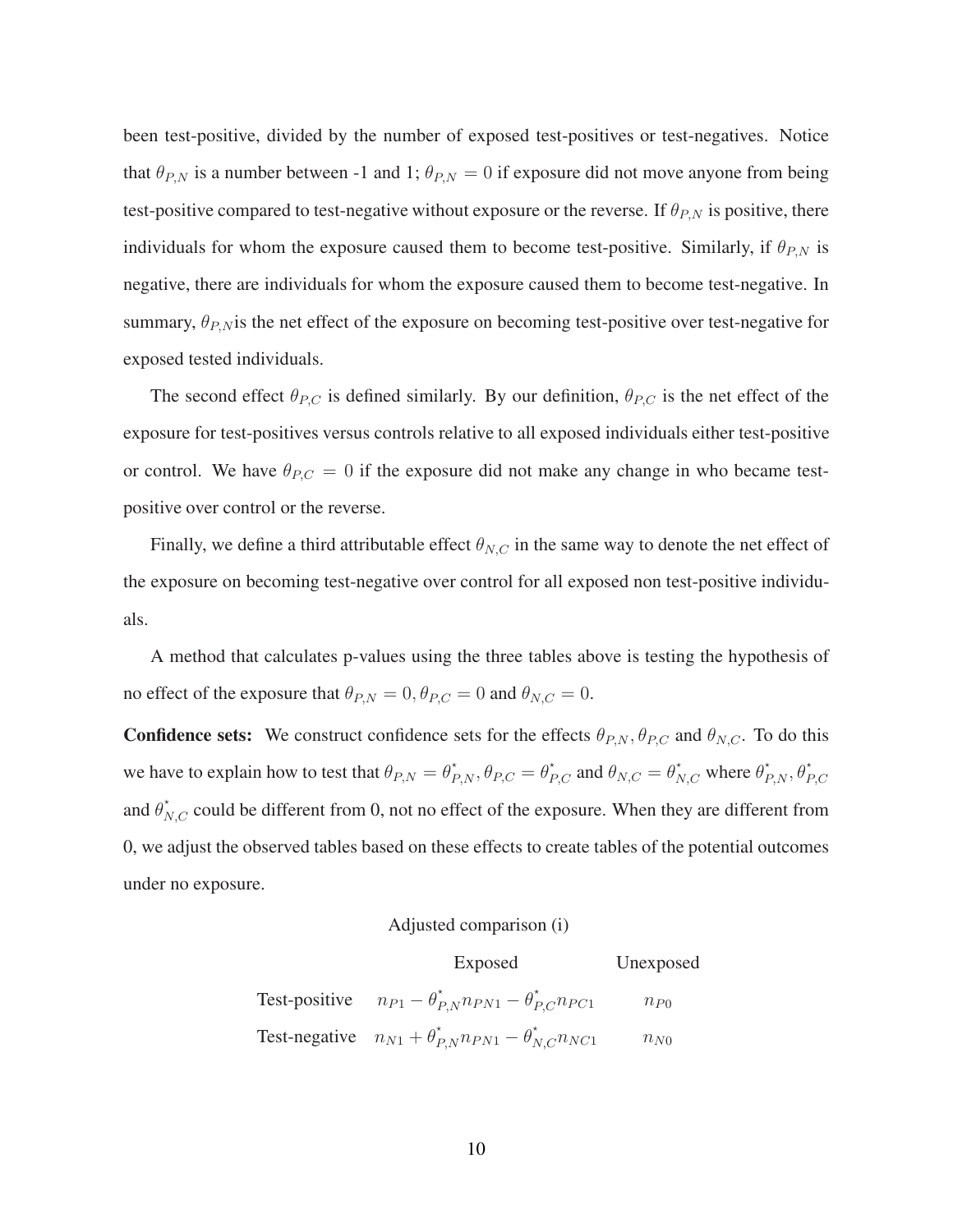been test-positive, divided by the number of exposed test-positives or test-negatives. Notice that  $\theta_{P,N}$  is a number between -1 and 1;  $\theta_{P,N} = 0$  if exposure did not move anyone from being test-positive compared to test-negative without exposure or the reverse. If  $\theta_{P,N}$  is positive, there individuals for whom the exposure caused them to become test-positive. Similarly, if  $\theta_{P,N}$  is negative, there are individuals for whom the exposure caused them to become test-negative. In summary,  $\theta_{P,N}$  is the net effect of the exposure on becoming test-positive over test-negative for exposed tested individuals.

The second effect  $\theta_{P,C}$  is defined similarly. By our definition,  $\theta_{P,C}$  is the net effect of the exposure for test-positives versus controls relative to all exposed individuals either test-positive or control. We have  $\theta_{P,C} = 0$  if the exposure did not make any change in who became testpositive over control or the reverse.

Finally, we define a third attributable effect  $\theta_{N,C}$  in the same way to denote the net effect of the exposure on becoming test-negative over control for all exposed non test-positive individuals.

A method that calculates p-values using the three tables above is testing the hypothesis of no effect of the exposure that  $\theta_{P,N} = 0$ ,  $\theta_{P,C} = 0$  and  $\theta_{N,C} = 0$ .

**Confidence sets:** We construct confidence sets for the effects  $\theta_{P,N}$ ,  $\theta_{P,C}$  and  $\theta_{N,C}$ . To do this we have to explain how to test that  $\theta_{P,N} = \theta_{P,N}^*, \theta_{P,C} = \theta_{P,C}^*$  and  $\theta_{N,C} = \theta_{N,C}^*$  where  $\theta_{P,N}^*, \theta_{P,C}^*$ and  $\theta_{N,C}^*$  could be different from 0, not no effect of the exposure. When they are different from 0, we adjust the observed tables based on these effects to create tables of the potential outcomes under no exposure.

#### Adjusted comparison (i)

| Exposed                                                                  | Unexposed |
|--------------------------------------------------------------------------|-----------|
| Test-positive $n_{P1} - \theta_{P,N}^* n_{PN1} - \theta_{P,C}^* n_{PC1}$ | $n_{P0}$  |
| Test-negative $n_{N1} + \theta_{P,N}^* n_{PN1} - \theta_{N,C}^* n_{NC1}$ | $n_{N0}$  |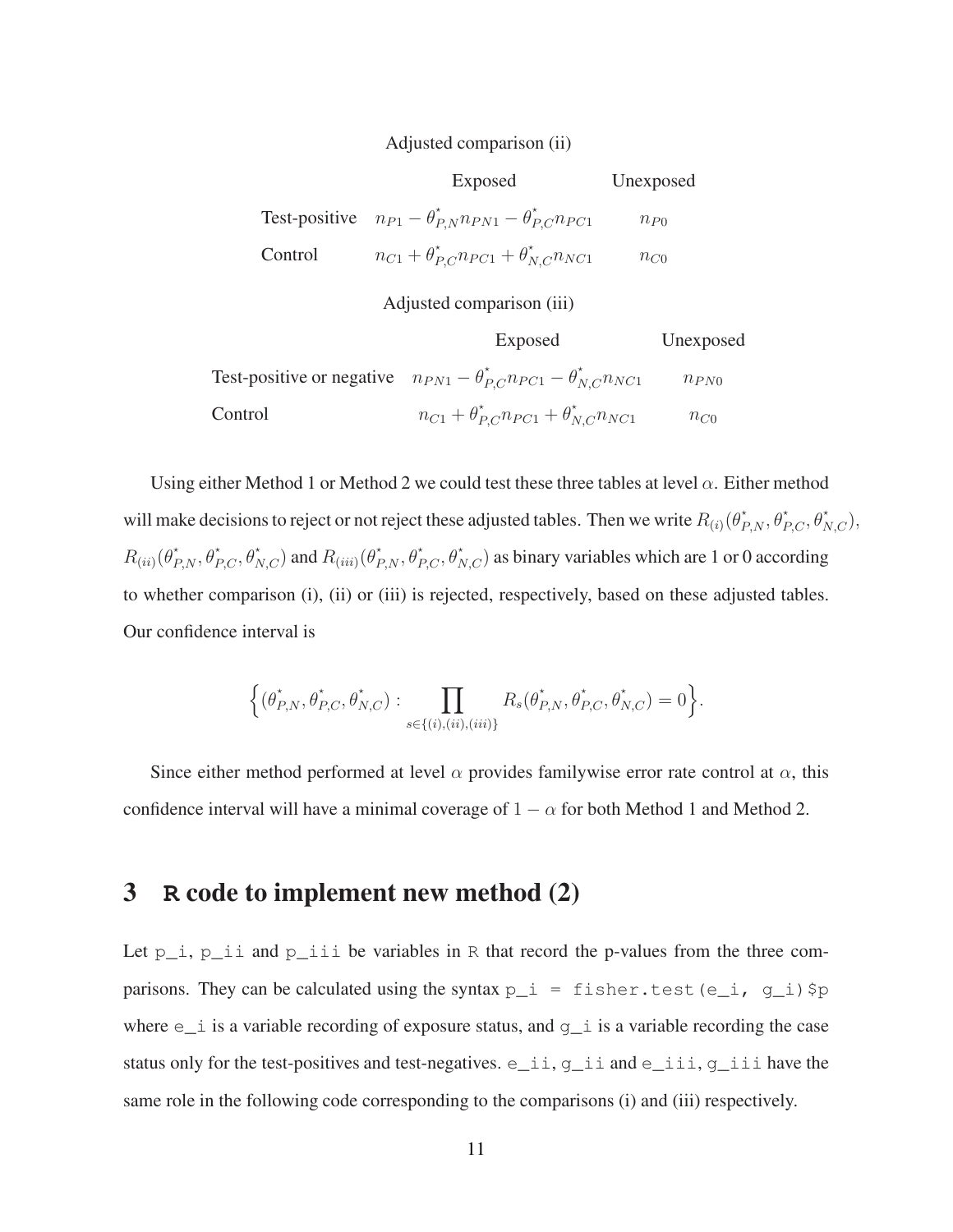#### Adjusted comparison (ii)

|         | Exposed                                                                  | Unexposed |
|---------|--------------------------------------------------------------------------|-----------|
|         | Test-positive $n_{P1} - \theta_{P,N}^* n_{PN1} - \theta_{P,C}^* n_{PC1}$ | $n_{P0}$  |
| Control | $n_{C1} + \theta_{P,C}^{*} n_{PC1} + \theta_{N,C}^{*} n_{NC1}$           | $n_{C0}$  |

Adjusted comparison (iii)

|         | Exposed                                                                                  | Unexposed |
|---------|------------------------------------------------------------------------------------------|-----------|
|         | Test-positive or negative $n_{PN1} - \theta_{PC}^{*} n_{PC1} - \theta_{N,C}^{*} n_{NC1}$ | $n_{PN0}$ |
| Control | $n_{C1} + \theta_{P,C}^* n_{PC1} + \theta_{N,C}^* n_{NC1}$                               | $n_{C0}$  |

Using either Method 1 or Method 2 we could test these three tables at level  $\alpha$ . Either method will make decisions to reject or not reject these adjusted tables. Then we write  $R_{(i)}(\theta_{P,N}^*,\theta_{P,C}^*,\theta_{N,C}^*),$  $R_{(ii)}(\theta_{P,N}^*, \theta_{P,C}^*, \theta_{N,C}^*)$  and  $R_{(iii)}(\theta_{P,N}^*, \theta_{P,C}^*, \theta_{N,C}^*)$  as binary variables which are 1 or 0 according to whether comparison (i), (ii) or (iii) is rejected, respectively, based on these adjusted tables. Our confidence interval is

$$
\left\{(\theta_{P,N}^*, \theta_{P,C}^*, \theta_{N,C}^*) : \prod_{s \in \{(i), (ii), (iii)\}} R_s(\theta_{P,N}^*, \theta_{P,C}^*, \theta_{N,C}^*) = 0\right\}.
$$

Since either method performed at level  $\alpha$  provides familywise error rate control at  $\alpha$ , this confidence interval will have a minimal coverage of  $1 - \alpha$  for both Method 1 and Method 2.

## 3 **R** code to implement new method (2)

Let  $p_i$ ,  $p_i$  is and  $p_i$  is be variables in R that record the p-values from the three comparisons. They can be calculated using the syntax  $p_i = fisher.test(e_i, g_i)$ \$p where  $e_i$  is a variable recording of exposure status, and  $g_i$  is a variable recording the case status only for the test-positives and test-negatives. e\_ii, g\_ii and e\_iii, g\_iii have the same role in the following code corresponding to the comparisons (i) and (iii) respectively.